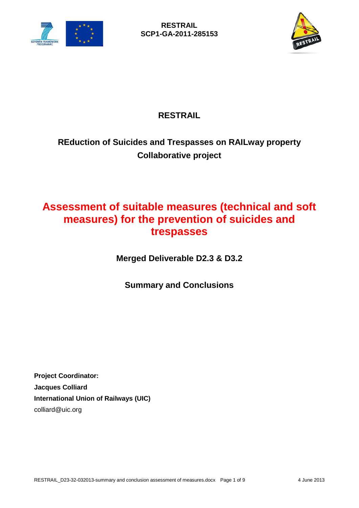



### **RESTRAIL**

# **REduction of Suicides and Trespasses on RAILway property Collaborative project**

# **Assessment of suitable measures (technical and soft measures) for the prevention of suicides and trespasses**

**Merged Deliverable D2.3 & D3.2**

**Summary and Conclusions**

**Project Coordinator: Jacques Colliard International Union of Railways (UIC)** colliard@uic.org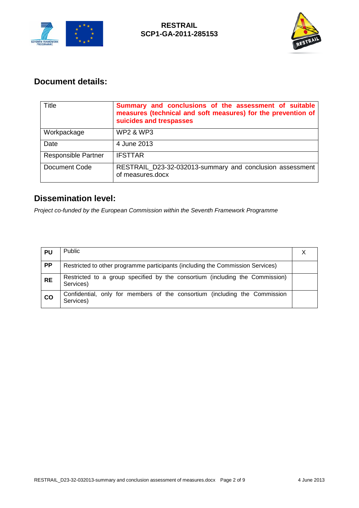



### **Document details:**

| Title                      | Summary and conclusions of the assessment of suitable<br>measures (technical and soft measures) for the prevention of<br>suicides and trespasses |
|----------------------------|--------------------------------------------------------------------------------------------------------------------------------------------------|
| Workpackage                | <b>WP2 &amp; WP3</b>                                                                                                                             |
| Date                       | 4 June 2013                                                                                                                                      |
| <b>Responsible Partner</b> | <b>IFSTTAR</b>                                                                                                                                   |
| Document Code              | RESTRAIL_D23-32-032013-summary and conclusion assessment<br>of measures.docx                                                                     |

### **Dissemination level:**

*Project co-funded by the European Commission within the Seventh Framework Programme*

| <b>PU</b>     | <b>Public</b>                                                                             |  |
|---------------|-------------------------------------------------------------------------------------------|--|
| <b>PP</b>     | Restricted to other programme participants (including the Commission Services)            |  |
| <b>RE</b>     | Restricted to a group specified by the consortium (including the Commission)<br>Services) |  |
| $\mathsf{co}$ | Confidential, only for members of the consortium (including the Commission<br>Services)   |  |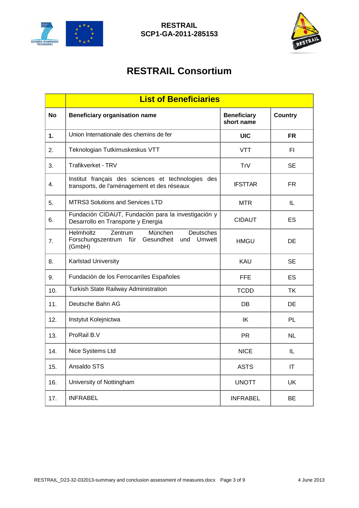



# **RESTRAIL Consortium**

|               | <b>List of Beneficiaries</b>                                                                             |                                  |                |
|---------------|----------------------------------------------------------------------------------------------------------|----------------------------------|----------------|
| <b>No</b>     | <b>Beneficiary organisation name</b>                                                                     | <b>Beneficiary</b><br>short name | <b>Country</b> |
| $\mathbf 1$ . | Union Internationale des chemins de fer                                                                  | <b>UIC</b>                       | FR             |
| 2.            | Teknologian Tutkimuskeskus VTT                                                                           | <b>VTT</b>                       | FI.            |
| 3.            | Trafikverket - TRV                                                                                       | TrV                              | <b>SE</b>      |
| 4.            | Institut français des sciences et technologies des<br>transports, de l'aménagement et des réseaux        | <b>IFSTTAR</b>                   | FR.            |
| 5.            | <b>MTRS3 Solutions and Services LTD</b>                                                                  | <b>MTR</b>                       | IL.            |
| 6.            | Fundación CIDAUT, Fundación para la investigación y<br>Desarrollo en Transporte y Energia                | <b>CIDAUT</b>                    | ES             |
| 7.            | Zentrum<br>München<br>Helmholtz<br>Deutsches<br>Forschungszentrum für Gesundheit und<br>Umwelt<br>(GmbH) | <b>HMGU</b>                      | DE             |
| 8.            | <b>Karlstad University</b>                                                                               | <b>KAU</b>                       | <b>SE</b>      |
| 9.            | Fundación de los Ferrocarriles Españoles                                                                 | <b>FFE</b>                       | ES             |
| 10.           | Turkish State Railway Administration                                                                     | <b>TCDD</b>                      | ТK             |
| 11.           | Deutsche Bahn AG                                                                                         | DB                               | DE             |
| 12.           | Instytut Kolejnictwa                                                                                     | IK                               | PL             |
| 13.           | ProRail B.V                                                                                              | <b>PR</b>                        | <b>NL</b>      |
| 14.           | Nice Systems Ltd                                                                                         | <b>NICE</b>                      | IL.            |
| 15.           | Ansaldo STS                                                                                              | <b>ASTS</b>                      | ΙT             |
| 16.           | University of Nottingham                                                                                 | <b>UNOTT</b>                     | UK             |
| 17.           | <b>INFRABEL</b>                                                                                          | <b>INFRABEL</b>                  | ВE             |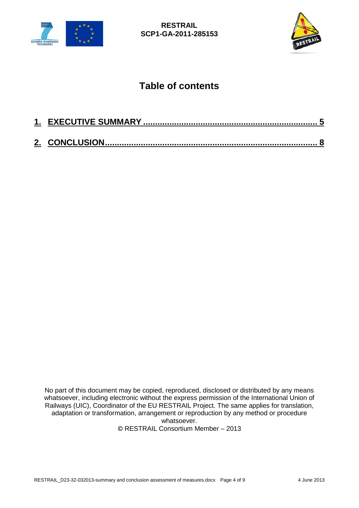



## **Table of contents**

No part of this document may be copied, reproduced, disclosed or distributed by any means whatsoever, including electronic without the express permission of the International Union of Railways (UIC), Coordinator of the EU RESTRAIL Project. The same applies for translation, adaptation or transformation, arrangement or reproduction by any method or procedure whatsoever. © RESTRAIL Consortium Member – 2013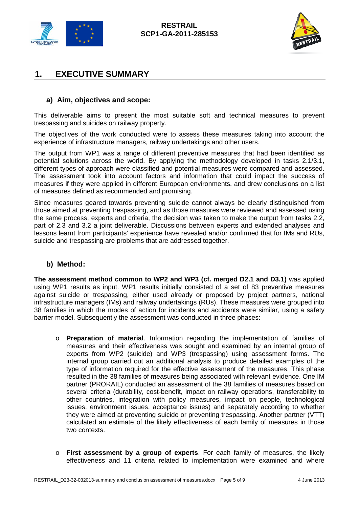



### <span id="page-4-0"></span>**1. EXECUTIVE SUMMARY**

#### **a) Aim, objectives and scope:**

This deliverable aims to present the most suitable soft and technical measures to prevent trespassing and suicides on railway property.

The objectives of the work conducted were to assess these measures taking into account the experience of infrastructure managers, railway undertakings and other users.

The output from WP1 was a range of different preventive measures that had been identified as potential solutions across the world. By applying the methodology developed in tasks 2.1/3.1, different types of approach were classified and potential measures were compared and assessed. The assessment took into account factors and information that could impact the success of measures if they were applied in different European environments, and drew conclusions on a list of measures defined as recommended and promising.

Since measures geared towards preventing suicide cannot always be clearly distinguished from those aimed at preventing trespassing, and as those measures were reviewed and assessed using the same process, experts and criteria, the decision was taken to make the output from tasks 2.2, part of 2.3 and 3.2 a joint deliverable. Discussions between experts and extended analyses and lessons learnt from participants' experience have revealed and/or confirmed that for IMs and RUs, suicide and trespassing are problems that are addressed together.

#### **b) Method:**

**The assessment method common to WP2 and WP3 (cf. merged D2.1 and D3.1)** was applied using WP1 results as input. WP1 results initially consisted of a set of 83 preventive measures against suicide or trespassing, either used already or proposed by project partners, national infrastructure managers (IMs) and railway undertakings (RUs). These measures were grouped into 38 families in which the modes of action for incidents and accidents were similar, using a safety barrier model. Subsequently the assessment was conducted in three phases:

- o **Preparation of material**. Information regarding the implementation of families of measures and their effectiveness was sought and examined by an internal group of experts from WP2 (suicide) and WP3 (trespassing) using assessment forms. The internal group carried out an additional analysis to produce detailed examples of the type of information required for the effective assessment of the measures. This phase resulted in the 38 families of measures being associated with relevant evidence. One IM partner (PRORAIL) conducted an assessment of the 38 families of measures based on several criteria (durability, cost-benefit, impact on railway operations, transferability to other countries, integration with policy measures, impact on people, technological issues, environment issues, acceptance issues) and separately according to whether they were aimed at preventing suicide or preventing trespassing. Another partner (VTT) calculated an estimate of the likely effectiveness of each family of measures in those two contexts.
- o **First assessment by a group of experts**. For each family of measures, the likely effectiveness and 11 criteria related to implementation were examined and where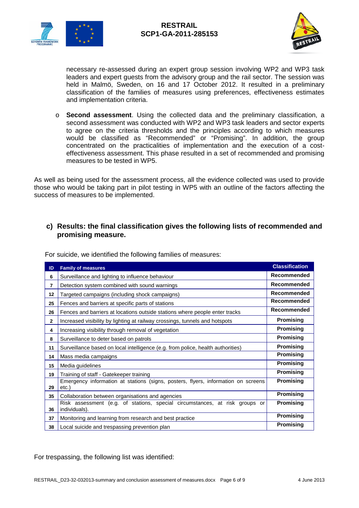



necessary re-assessed during an expert group session involving WP2 and WP3 task leaders and expert guests from the advisory group and the rail sector. The session was held in Malmö, Sweden, on 16 and 17 October 2012. It resulted in a preliminary classification of the families of measures using preferences, effectiveness estimates and implementation criteria.

o **Second assessment**. Using the collected data and the preliminary classification, a second assessment was conducted with WP2 and WP3 task leaders and sector experts to agree on the criteria thresholds and the principles according to which measures would be classified as "Recommended" or "Promising". In addition, the group concentrated on the practicalities of implementation and the execution of a costeffectiveness assessment. This phase resulted in a set of recommended and promising measures to be tested in WP5.

As well as being used for the assessment process, all the evidence collected was used to provide those who would be taking part in pilot testing in WP5 with an outline of the factors affecting the success of measures to be implemented.

#### **c) Results: the final classification gives the following lists of recommended and promising measure.**

| ID           | <b>Family of measures</b>                                                                    | <b>Classification</b> |
|--------------|----------------------------------------------------------------------------------------------|-----------------------|
| 6            | Surveillance and lighting to influence behaviour                                             | Recommended           |
| 7            | Detection system combined with sound warnings                                                | Recommended           |
| 12           | Targeted campaigns (including shock campaigns)                                               | Recommended           |
| 25           | Fences and barriers at specific parts of stations                                            | <b>Recommended</b>    |
| 26           | Fences and barriers at locations outside stations where people enter tracks                  | Recommended           |
| $\mathbf{2}$ | Increased visibility by lighting at railway crossings, tunnels and hotspots                  | <b>Promising</b>      |
| 4            | Increasing visibility through removal of vegetation                                          | <b>Promising</b>      |
| 8            | Surveillance to deter based on patrols                                                       | <b>Promising</b>      |
| 11           | Surveillance based on local intelligence (e.g. from police, health authorities)              | <b>Promising</b>      |
| 14           | Mass media campaigns                                                                         | <b>Promising</b>      |
| 15           | Media guidelines                                                                             | Promising             |
| 19           | Training of staff - Gatekeeper training                                                      | Promising             |
| 29           | Emergency information at stations (signs, posters, flyers, information on screens<br>etc.)   | <b>Promising</b>      |
| 35           | Collaboration between organisations and agencies                                             | Promising             |
| 36           | Risk assessment (e.g. of stations, special circumstances, at risk groups or<br>individuals). | <b>Promising</b>      |
| 37           | Monitoring and learning from research and best practice                                      | Promising             |
| 38           | Local suicide and trespassing prevention plan                                                | Promising             |

For suicide, we identified the following families of measures:

For trespassing, the following list was identified: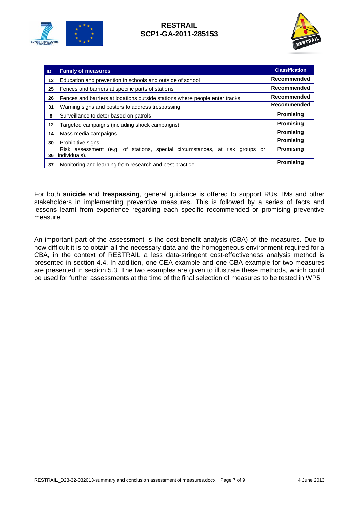

#### **RESTRAIL SCP1-GA-2011-285153**



| <b>ID</b> | <b>Family of measures</b>                                                      | <b>Classification</b> |
|-----------|--------------------------------------------------------------------------------|-----------------------|
| 13        | Education and prevention in schools and outside of school                      | Recommended           |
| 25        | Fences and barriers at specific parts of stations                              | Recommended           |
| 26        | Fences and barriers at locations outside stations where people enter tracks    | Recommended           |
| 31        | Warning signs and posters to address trespassing                               | Recommended           |
| 8         | Surveillance to deter based on patrols                                         | <b>Promising</b>      |
| 12        | Targeted campaigns (including shock campaigns)                                 | <b>Promising</b>      |
| 14        | Mass media campaigns                                                           | <b>Promising</b>      |
| 30        | Prohibitive signs                                                              | <b>Promising</b>      |
|           | Risk assessment (e.g. of stations, special circumstances, at risk groups<br>or | <b>Promising</b>      |
| 36        | individuals).                                                                  |                       |
| 37        | Monitoring and learning from research and best practice                        | Promising             |

For both **suicide** and **trespassing**, general guidance is offered to support RUs, IMs and other stakeholders in implementing preventive measures. This is followed by a series of facts and lessons learnt from experience regarding each specific recommended or promising preventive measure.

An important part of the assessment is the cost-benefit analysis (CBA) of the measures. Due to how difficult it is to obtain all the necessary data and the homogeneous environment required for a CBA, in the context of RESTRAIL a less data-stringent cost-effectiveness analysis method is presented in section 4.4. In addition, one CEA example and one CBA example for two measures are presented in section 5.3. The two examples are given to illustrate these methods, which could be used for further assessments at the time of the final selection of measures to be tested in WP5.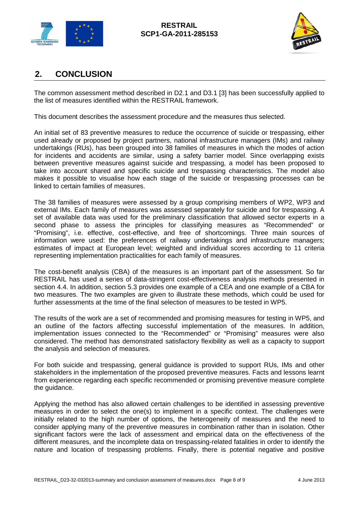

#### **RESTRAIL SCP1-GA-2011-285153**



### <span id="page-7-0"></span>**2. CONCLUSION**

The common assessment method described in D2.1 and D3.1 [3] has been successfully applied to the list of measures identified within the RESTRAIL framework.

This document describes the assessment procedure and the measures thus selected.

An initial set of 83 preventive measures to reduce the occurrence of suicide or trespassing, either used already or proposed by project partners, national infrastructure managers (IMs) and railway undertakings (RUs), has been grouped into 38 families of measures in which the modes of action for incidents and accidents are similar, using a safety barrier model. Since overlapping exists between preventive measures against suicide and trespassing, a model has been proposed to take into account shared and specific suicide and trespassing characteristics. The model also makes it possible to visualise how each stage of the suicide or trespassing processes can be linked to certain families of measures.

The 38 families of measures were assessed by a group comprising members of WP2, WP3 and external IMs. Each family of measures was assessed separately for suicide and for trespassing. A set of available data was used for the preliminary classification that allowed sector experts in a second phase to assess the principles for classifying measures as "Recommended" or "Promising", i.e. effective, cost-effective, and free of shortcomings. Three main sources of information were used: the preferences of railway undertakings and infrastructure managers; estimates of impact at European level; weighted and individual scores according to 11 criteria representing implementation practicalities for each family of measures.

The cost-benefit analysis (CBA) of the measures is an important part of the assessment. So far RESTRAIL has used a series of data-stringent cost-effectiveness analysis methods presented in section 4.4. In addition, section 5.3 provides one example of a CEA and one example of a CBA for two measures. The two examples are given to illustrate these methods, which could be used for further assessments at the time of the final selection of measures to be tested in WP5.

The results of the work are a set of recommended and promising measures for testing in WP5, and an outline of the factors affecting successful implementation of the measures. In addition, implementation issues connected to the "Recommended" or "Promising" measures were also considered. The method has demonstrated satisfactory flexibility as well as a capacity to support the analysis and selection of measures.

For both suicide and trespassing, general guidance is provided to support RUs, IMs and other stakeholders in the implementation of the proposed preventive measures. Facts and lessons learnt from experience regarding each specific recommended or promising preventive measure complete the guidance.

Applying the method has also allowed certain challenges to be identified in assessing preventive measures in order to select the one(s) to implement in a specific context. The challenges were initially related to the high number of options, the heterogeneity of measures and the need to consider applying many of the preventive measures in combination rather than in isolation. Other significant factors were the lack of assessment and empirical data on the effectiveness of the different measures, and the incomplete data on trespassing-related fatalities in order to identify the nature and location of trespassing problems. Finally, there is potential negative and positive